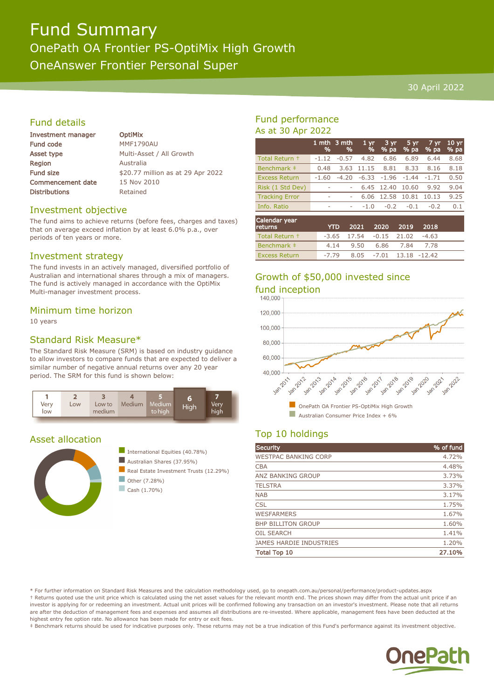# Fund Summary OnePath OA Frontier PS-OptiMix High Growth OneAnswer Frontier Personal Super

#### 30 April 2022

### Fund details

| <b>Investment manager</b> | <b>OptiMix</b>                    |
|---------------------------|-----------------------------------|
| <b>Fund code</b>          | MMF1790AU                         |
| Asset type                | Multi-Asset / All Growth          |
| <b>Region</b>             | Australia                         |
| <b>Fund size</b>          | \$20.77 million as at 29 Apr 2022 |
| <b>Commencement date</b>  | 15 Nov 2010                       |
| <b>Distributions</b>      | Retained                          |
|                           |                                   |

#### Investment objective

The fund aims to achieve returns (before fees, charges and taxes) that on average exceed inflation by at least 6.0% p.a., over periods of ten years or more.

#### Investment strategy

The fund invests in an actively managed, diversified portfolio of Australian and international shares through a mix of managers. The fund is actively managed in accordance with the OptiMix Multi-manager investment process.

#### Minimum time horizon

10 years

### Standard Risk Measure\*

The Standard Risk Measure (SRM) is based on industry guidance to allow investors to compare funds that are expected to deliver a similar number of negative annual returns over any 20 year period. The SRM for this fund is shown below:



#### Asset allocation





 $\Box$  Cash (1.70%)

## Fund performance As at 30 Apr 2022

|                       | %       | 1 mth $3$ mth<br>% | 1 <sub>yr</sub><br>% | 3 yr<br>$%$ pa | 5 yr<br>% pa | 7 yr<br>$%$ pa | 10 <sub>yr</sub><br>% pa |
|-----------------------|---------|--------------------|----------------------|----------------|--------------|----------------|--------------------------|
| Total Return +        | $-1.12$ | $-0.57$            | 4.82                 | 6.86           | 6.89         | 6.44           | 8.68                     |
| Benchmark ‡           | 0.48    | 3.63               | 11.15                | 8.81           | 8.33         | 8.16           | 8.18                     |
| <b>Excess Return</b>  | $-1.60$ | $-4.20$            | $-6.33$              | $-1.96$        | $-1.44$      | $-1.71$        | 0.50                     |
| Risk (1 Std Dev)      | ۰       |                    | 6.45                 | 12.40          | 10.60        | 9.92           | 9.04                     |
| <b>Tracking Error</b> | ٠       | ۰                  | 6.06                 | 12.58          | 10.81        | 10.13          | 9.25                     |
| Info. Ratio           | ۰       | ۰                  | $-1.0$               | $-0.2$         | $-0.1$       | $-0.2$         | 0.1                      |
|                       |         |                    |                      |                |              |                |                          |

| Calendar year<br><b>returns</b> | <b>YTD</b> |                                     | 2021 2020 2019          | -2018 |  |
|---------------------------------|------------|-------------------------------------|-------------------------|-------|--|
| Total Return +                  |            | $-3.65$ 17.54 $-0.15$ 21.02 $-4.63$ |                         |       |  |
| Benchmark #                     |            | 4.14 9.50 6.86 7.84 7.78            |                         |       |  |
| <b>Excess Return</b>            | $-7.79$    |                                     | 8.05 -7.01 13.18 -12.42 |       |  |

# Growth of \$50,000 invested since fund inception



# Top 10 holdings

| <b>Security</b>             | % of fund |
|-----------------------------|-----------|
| <b>WESTPAC BANKING CORP</b> | 4.72%     |
| <b>CBA</b>                  | 4.48%     |
| <b>ANZ BANKING GROUP</b>    | 3.73%     |
| <b>TELSTRA</b>              | 3.37%     |
| <b>NAB</b>                  | 3.17%     |
| <b>CSL</b>                  | 1.75%     |
| <b>WESFARMERS</b>           | 1.67%     |
| <b>BHP BILLITON GROUP</b>   | 1.60%     |
| <b>OIL SEARCH</b>           | 1.41%     |
| JAMES HARDIE INDUSTRIES     | 1.20%     |
| <b>Total Top 10</b>         | 27.10%    |

\* For further information on Standard Risk Measures and the calculation methodology used, go to onepath.com.au/personal/performance/product-updates.aspx † Returns quoted use the unit price which is calculated using the net asset values for the relevant month end. The prices shown may differ from the actual unit price if an investor is applying for or redeeming an investment. Actual unit prices will be confirmed following any transaction on an investor's investment. Please note that all returns are after the deduction of management fees and expenses and assumes all distributions are re-invested. Where applicable, management fees have been deducted at the highest entry fee option rate. No allowance has been made for entry or exit fees.

‡ Benchmark returns should be used for indicative purposes only. These returns may not be a true indication of this Fund's performance against its investment objective.